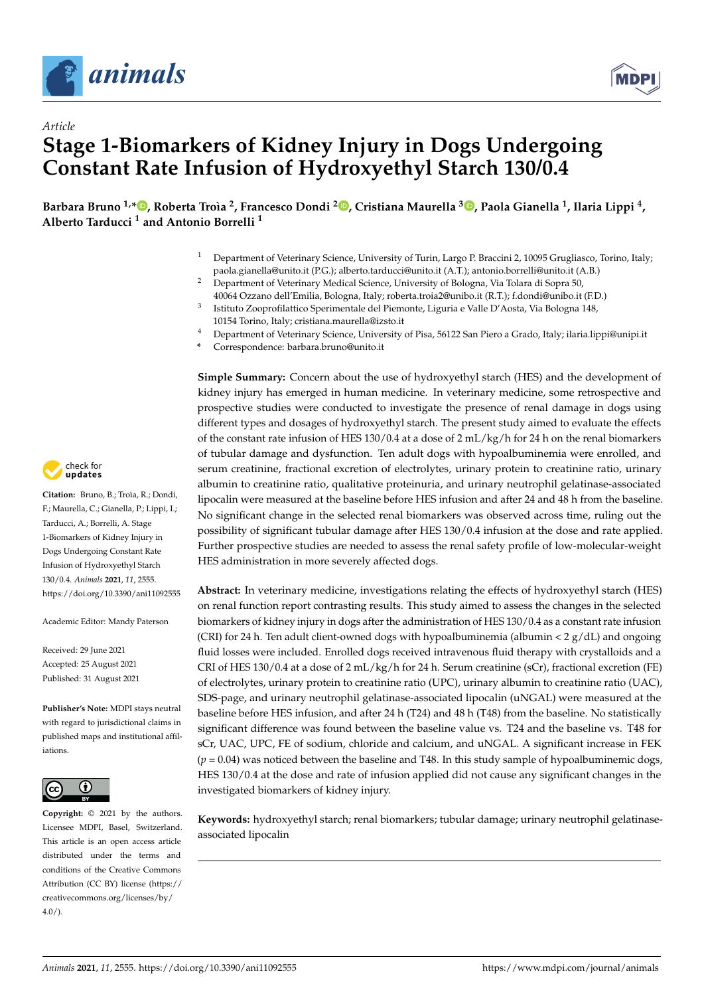

*Article*



# **Stage 1-Biomarkers of Kidney Injury in Dogs Undergoing Constant Rate Infusion of Hydroxyethyl Starch 130/0.4**

Barbara Bruno <sup>1[,](https://orcid.org/0000-0003-3481-8380)</sup>\*®, Roberta Troìa <sup>2</sup>, Francesco Dondi <sup>2</sup>®, Cristiana Maurella <sup>3</sup>®, Paola Gianella <sup>1</sup>, Ilaria Lippi <sup>4</sup>, **Alberto Tarducci <sup>1</sup> and Antonio Borrelli <sup>1</sup>**

- <sup>1</sup> Department of Veterinary Science, University of Turin, Largo P. Braccini 2, 10095 Grugliasco, Torino, Italy; paola.gianella@unito.it (P.G.); alberto.tarducci@unito.it (A.T.); antonio.borrelli@unito.it (A.B.)
- <sup>2</sup> Department of Veterinary Medical Science, University of Bologna, Via Tolara di Sopra 50,
- 40064 Ozzano dell'Emilia, Bologna, Italy; roberta.troia2@unibo.it (R.T.); f.dondi@unibo.it (F.D.) 3 Istituto Zooprofilattico Sperimentale del Piemonte, Liguria e Valle D'Aosta, Via Bologna 148, 10154 Torino, Italy; cristiana.maurella@izsto.it
- <sup>4</sup> Department of Veterinary Science, University of Pisa, 56122 San Piero a Grado, Italy; ilaria.lippi@unipi.it
- **\*** Correspondence: barbara.bruno@unito.it

**Simple Summary:** Concern about the use of hydroxyethyl starch (HES) and the development of kidney injury has emerged in human medicine. In veterinary medicine, some retrospective and prospective studies were conducted to investigate the presence of renal damage in dogs using different types and dosages of hydroxyethyl starch. The present study aimed to evaluate the effects of the constant rate infusion of HES 130/0.4 at a dose of 2 mL/kg/h for 24 h on the renal biomarkers of tubular damage and dysfunction. Ten adult dogs with hypoalbuminemia were enrolled, and serum creatinine, fractional excretion of electrolytes, urinary protein to creatinine ratio, urinary albumin to creatinine ratio, qualitative proteinuria, and urinary neutrophil gelatinase-associated lipocalin were measured at the baseline before HES infusion and after 24 and 48 h from the baseline. No significant change in the selected renal biomarkers was observed across time, ruling out the possibility of significant tubular damage after HES 130/0.4 infusion at the dose and rate applied. Further prospective studies are needed to assess the renal safety profile of low-molecular-weight HES administration in more severely affected dogs.

**Abstract:** In veterinary medicine, investigations relating the effects of hydroxyethyl starch (HES) on renal function report contrasting results. This study aimed to assess the changes in the selected biomarkers of kidney injury in dogs after the administration of HES 130/0.4 as a constant rate infusion (CRI) for 24 h. Ten adult client-owned dogs with hypoalbuminemia (albumin  $\langle 2 \, g/dL \rangle$  and ongoing fluid losses were included. Enrolled dogs received intravenous fluid therapy with crystalloids and a CRI of HES 130/0.4 at a dose of 2 mL/kg/h for 24 h. Serum creatinine (sCr), fractional excretion (FE) of electrolytes, urinary protein to creatinine ratio (UPC), urinary albumin to creatinine ratio (UAC), SDS-page, and urinary neutrophil gelatinase-associated lipocalin (uNGAL) were measured at the baseline before HES infusion, and after 24 h (T24) and 48 h (T48) from the baseline. No statistically significant difference was found between the baseline value vs. T24 and the baseline vs. T48 for sCr, UAC, UPC, FE of sodium, chloride and calcium, and uNGAL. A significant increase in FEK  $(p = 0.04)$  was noticed between the baseline and T48. In this study sample of hypoalbuminemic dogs, HES 130/0.4 at the dose and rate of infusion applied did not cause any significant changes in the investigated biomarkers of kidney injury.

**Keywords:** hydroxyethyl starch; renal biomarkers; tubular damage; urinary neutrophil gelatinaseassociated lipocalin



**Citation:** Bruno, B.; Troìa, R.; Dondi, F.; Maurella, C.; Gianella, P.; Lippi, I.; Tarducci, A.; Borrelli, A. Stage 1-Biomarkers of Kidney Injury in Dogs Undergoing Constant Rate Infusion of Hydroxyethyl Starch 130/0.4. *Animals* **2021**, *11*, 2555. <https://doi.org/10.3390/ani11092555>

Academic Editor: Mandy Paterson

Received: 29 June 2021 Accepted: 25 August 2021 Published: 31 August 2021

**Publisher's Note:** MDPI stays neutral with regard to jurisdictional claims in published maps and institutional affiliations.



**Copyright:** © 2021 by the authors. Licensee MDPI, Basel, Switzerland. This article is an open access article distributed under the terms and conditions of the Creative Commons Attribution (CC BY) license (https:/[/](https://creativecommons.org/licenses/by/4.0/) [creativecommons.org/licenses/by/](https://creativecommons.org/licenses/by/4.0/)  $4.0/$ ).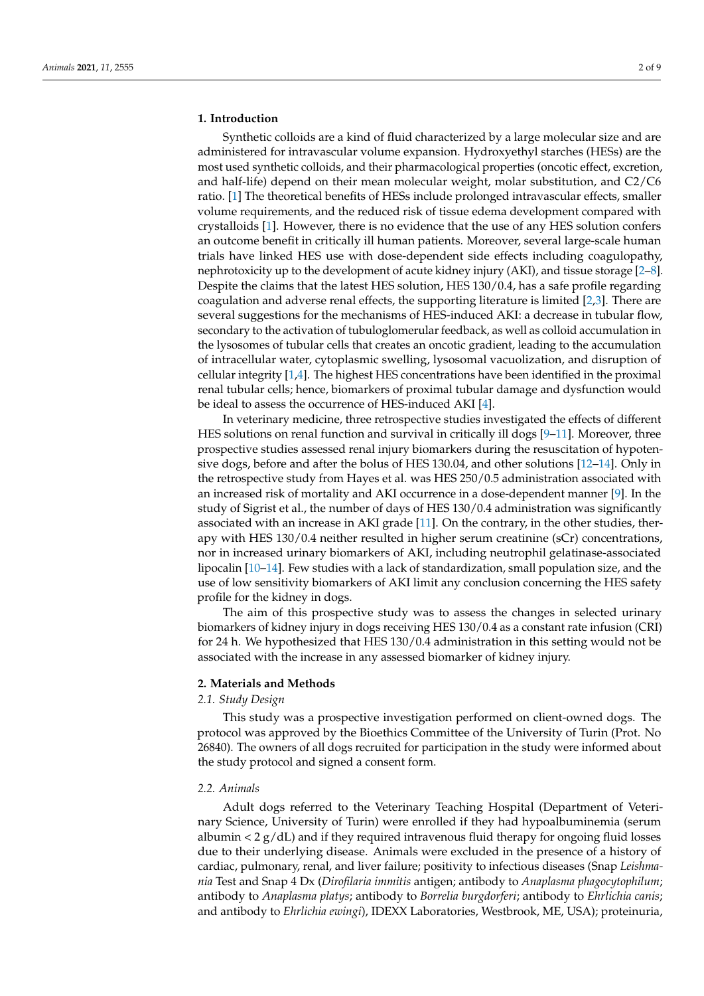# **1. Introduction**

Synthetic colloids are a kind of fluid characterized by a large molecular size and are administered for intravascular volume expansion. Hydroxyethyl starches (HESs) are the most used synthetic colloids, and their pharmacological properties (oncotic effect, excretion, and half-life) depend on their mean molecular weight, molar substitution, and C2/C6 ratio. [\[1\]](#page-7-0) The theoretical benefits of HESs include prolonged intravascular effects, smaller volume requirements, and the reduced risk of tissue edema development compared with crystalloids [\[1\]](#page-7-0). However, there is no evidence that the use of any HES solution confers an outcome benefit in critically ill human patients. Moreover, several large-scale human trials have linked HES use with dose-dependent side effects including coagulopathy, nephrotoxicity up to the development of acute kidney injury (AKI), and tissue storage [\[2](#page-7-1)[–8\]](#page-7-2). Despite the claims that the latest HES solution, HES 130/0.4, has a safe profile regarding coagulation and adverse renal effects, the supporting literature is limited [\[2](#page-7-1)[,3\]](#page-7-3). There are several suggestions for the mechanisms of HES-induced AKI: a decrease in tubular flow, secondary to the activation of tubuloglomerular feedback, as well as colloid accumulation in the lysosomes of tubular cells that creates an oncotic gradient, leading to the accumulation of intracellular water, cytoplasmic swelling, lysosomal vacuolization, and disruption of cellular integrity  $[1,4]$  $[1,4]$ . The highest HES concentrations have been identified in the proximal renal tubular cells; hence, biomarkers of proximal tubular damage and dysfunction would be ideal to assess the occurrence of HES-induced AKI [\[4\]](#page-7-4).

In veterinary medicine, three retrospective studies investigated the effects of different HES solutions on renal function and survival in critically ill dogs [\[9](#page-7-5)[–11\]](#page-7-6). Moreover, three prospective studies assessed renal injury biomarkers during the resuscitation of hypotensive dogs, before and after the bolus of HES 130.04, and other solutions [\[12](#page-7-7)[–14\]](#page-7-8). Only in the retrospective study from Hayes et al. was HES 250/0.5 administration associated with an increased risk of mortality and AKI occurrence in a dose-dependent manner [\[9\]](#page-7-5). In the study of Sigrist et al., the number of days of HES 130/0.4 administration was significantly associated with an increase in AKI grade [\[11\]](#page-7-6). On the contrary, in the other studies, therapy with HES 130/0.4 neither resulted in higher serum creatinine (sCr) concentrations, nor in increased urinary biomarkers of AKI, including neutrophil gelatinase-associated lipocalin [\[10](#page-7-9)[–14\]](#page-7-8). Few studies with a lack of standardization, small population size, and the use of low sensitivity biomarkers of AKI limit any conclusion concerning the HES safety profile for the kidney in dogs.

The aim of this prospective study was to assess the changes in selected urinary biomarkers of kidney injury in dogs receiving HES 130/0.4 as a constant rate infusion (CRI) for 24 h. We hypothesized that HES 130/0.4 administration in this setting would not be associated with the increase in any assessed biomarker of kidney injury.

# **2. Materials and Methods**

# *2.1. Study Design*

This study was a prospective investigation performed on client-owned dogs. The protocol was approved by the Bioethics Committee of the University of Turin (Prot. No 26840). The owners of all dogs recruited for participation in the study were informed about the study protocol and signed a consent form.

## *2.2. Animals*

Adult dogs referred to the Veterinary Teaching Hospital (Department of Veterinary Science, University of Turin) were enrolled if they had hypoalbuminemia (serum albumin  $< 2 g/dL$ ) and if they required intravenous fluid therapy for ongoing fluid losses due to their underlying disease. Animals were excluded in the presence of a history of cardiac, pulmonary, renal, and liver failure; positivity to infectious diseases (Snap *Leishmania* Test and Snap 4 Dx (*Dirofilaria immitis* antigen; antibody to *Anaplasma phagocytophilum*; antibody to *Anaplasma platys*; antibody to *Borrelia burgdorferi*; antibody to *Ehrlichia canis*; and antibody to *Ehrlichia ewingi*), IDEXX Laboratories, Westbrook, ME, USA); proteinuria,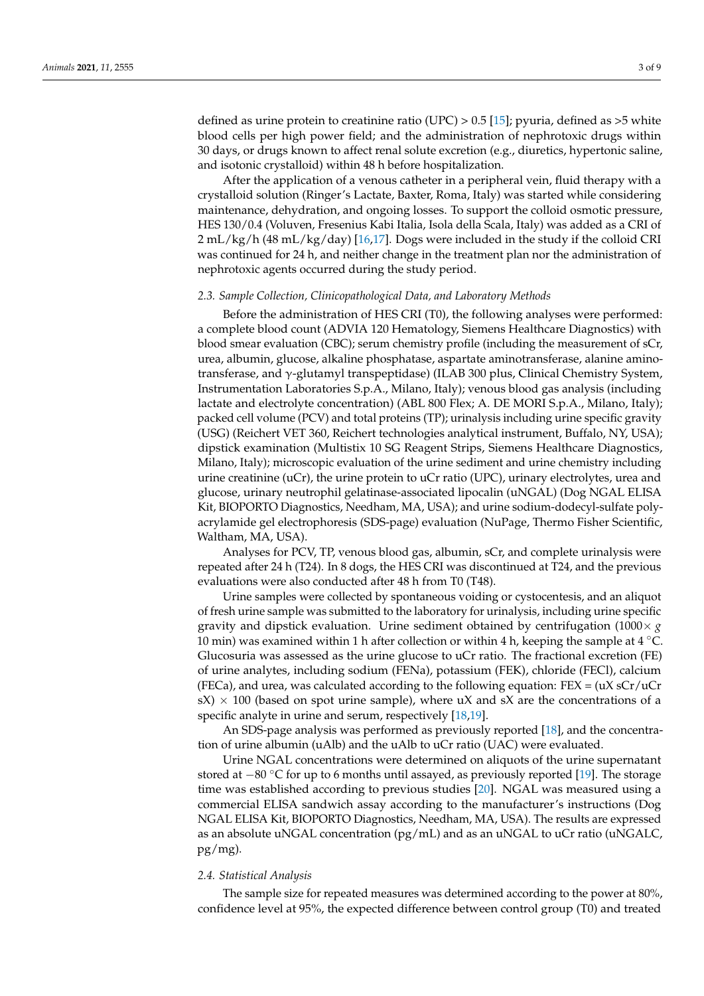defined as urine protein to creatinine ratio (UPC)  $> 0.5$  [\[15\]](#page-7-10); pyuria, defined as  $>5$  white blood cells per high power field; and the administration of nephrotoxic drugs within 30 days, or drugs known to affect renal solute excretion (e.g., diuretics, hypertonic saline, and isotonic crystalloid) within 48 h before hospitalization.

After the application of a venous catheter in a peripheral vein, fluid therapy with a crystalloid solution (Ringer's Lactate, Baxter, Roma, Italy) was started while considering maintenance, dehydration, and ongoing losses. To support the colloid osmotic pressure, HES 130/0.4 (Voluven, Fresenius Kabi Italia, Isola della Scala, Italy) was added as a CRI of 2 mL/kg/h (48 mL/kg/day) [\[16,](#page-7-11)[17\]](#page-7-12). Dogs were included in the study if the colloid CRI was continued for 24 h, and neither change in the treatment plan nor the administration of nephrotoxic agents occurred during the study period.

#### *2.3. Sample Collection, Clinicopathological Data, and Laboratory Methods*

Before the administration of HES CRI (T0), the following analyses were performed: a complete blood count (ADVIA 120 Hematology, Siemens Healthcare Diagnostics) with blood smear evaluation (CBC); serum chemistry profile (including the measurement of sCr, urea, albumin, glucose, alkaline phosphatase, aspartate aminotransferase, alanine aminotransferase, and γ-glutamyl transpeptidase) (ILAB 300 plus, Clinical Chemistry System, Instrumentation Laboratories S.p.A., Milano, Italy); venous blood gas analysis (including lactate and electrolyte concentration) (ABL 800 Flex; A. DE MORI S.p.A., Milano, Italy); packed cell volume (PCV) and total proteins (TP); urinalysis including urine specific gravity (USG) (Reichert VET 360, Reichert technologies analytical instrument, Buffalo, NY, USA); dipstick examination (Multistix 10 SG Reagent Strips, Siemens Healthcare Diagnostics, Milano, Italy); microscopic evaluation of the urine sediment and urine chemistry including urine creatinine (uCr), the urine protein to uCr ratio (UPC), urinary electrolytes, urea and glucose, urinary neutrophil gelatinase-associated lipocalin (uNGAL) (Dog NGAL ELISA Kit, BIOPORTO Diagnostics, Needham, MA, USA); and urine sodium-dodecyl-sulfate polyacrylamide gel electrophoresis (SDS-page) evaluation (NuPage, Thermo Fisher Scientific, Waltham, MA, USA).

Analyses for PCV, TP, venous blood gas, albumin, sCr, and complete urinalysis were repeated after 24 h (T24). In 8 dogs, the HES CRI was discontinued at T24, and the previous evaluations were also conducted after 48 h from T0 (T48).

Urine samples were collected by spontaneous voiding or cystocentesis, and an aliquot of fresh urine sample was submitted to the laboratory for urinalysis, including urine specific gravity and dipstick evaluation. Urine sediment obtained by centrifugation  $(1000 \times g)$ 10 min) was examined within 1 h after collection or within 4 h, keeping the sample at  $4 °C$ . Glucosuria was assessed as the urine glucose to uCr ratio. The fractional excretion (FE) of urine analytes, including sodium (FENa), potassium (FEK), chloride (FECl), calcium (FECa), and urea, was calculated according to the following equation: FEX =  $(uX sCr/uCr)$  $sX \times 100$  (based on spot urine sample), where uX and sX are the concentrations of a specific analyte in urine and serum, respectively [\[18](#page-7-13)[,19\]](#page-7-14).

An SDS-page analysis was performed as previously reported [\[18\]](#page-7-13), and the concentration of urine albumin (uAlb) and the uAlb to uCr ratio (UAC) were evaluated.

Urine NGAL concentrations were determined on aliquots of the urine supernatant stored at −80 °C for up to 6 months until assayed, as previously reported [\[19\]](#page-7-14). The storage time was established according to previous studies [\[20\]](#page-7-15). NGAL was measured using a commercial ELISA sandwich assay according to the manufacturer's instructions (Dog NGAL ELISA Kit, BIOPORTO Diagnostics, Needham, MA, USA). The results are expressed as an absolute uNGAL concentration (pg/mL) and as an uNGAL to uCr ratio (uNGALC, pg/mg).

#### *2.4. Statistical Analysis*

The sample size for repeated measures was determined according to the power at 80%, confidence level at 95%, the expected difference between control group (T0) and treated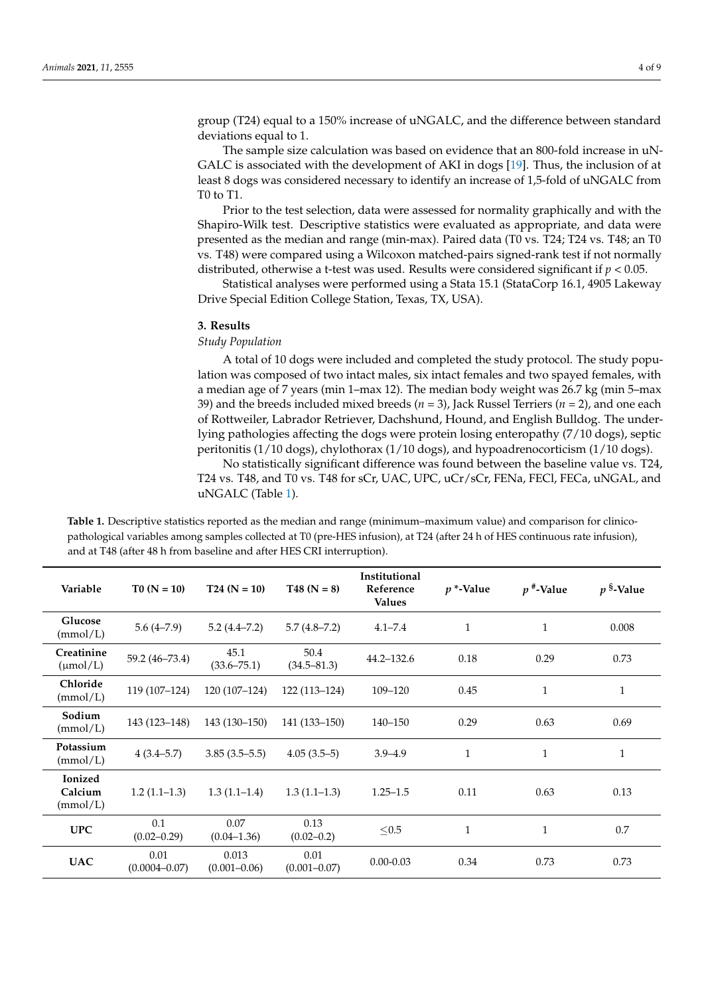group (T24) equal to a 150% increase of uNGALC, and the difference between standard deviations equal to 1.

The sample size calculation was based on evidence that an 800-fold increase in uN-GALC is associated with the development of AKI in dogs [\[19\]](#page-7-14). Thus, the inclusion of at least 8 dogs was considered necessary to identify an increase of 1,5-fold of uNGALC from T0 to T1.

Prior to the test selection, data were assessed for normality graphically and with the Shapiro-Wilk test. Descriptive statistics were evaluated as appropriate, and data were presented as the median and range (min-max). Paired data (T0 vs. T24; T24 vs. T48; an T0 vs. T48) were compared using a Wilcoxon matched-pairs signed-rank test if not normally distributed, otherwise a t-test was used. Results were considered significant if *p* < 0.05.

Statistical analyses were performed using a Stata 15.1 (StataCorp 16.1, 4905 Lakeway Drive Special Edition College Station, Texas, TX, USA).

#### **3. Results**

## *Study Population*

A total of 10 dogs were included and completed the study protocol. The study population was composed of two intact males, six intact females and two spayed females, with a median age of 7 years (min 1–max 12). The median body weight was 26.7 kg (min 5–max 39) and the breeds included mixed breeds (*n* = 3), Jack Russel Terriers (*n* = 2), and one each of Rottweiler, Labrador Retriever, Dachshund, Hound, and English Bulldog. The underlying pathologies affecting the dogs were protein losing enteropathy (7/10 dogs), septic peritonitis (1/10 dogs), chylothorax (1/10 dogs), and hypoadrenocorticism (1/10 dogs).

No statistically significant difference was found between the baseline value vs. T24, T24 vs. T48, and T0 vs. T48 for sCr, UAC, UPC, uCr/sCr, FENa, FECl, FECa, uNGAL, and uNGALC (Table [1\)](#page-4-0).

| Variable                              | $T0 (N = 10)$             | $T24 (N = 10)$            | $T48 (N = 8)$            | Institutional<br>Reference<br><b>Values</b> | $p$ *-Value  | $p^*$ -Value | $p$ <sup>§</sup> -Value |
|---------------------------------------|---------------------------|---------------------------|--------------------------|---------------------------------------------|--------------|--------------|-------------------------|
| Glucose<br>(mmol/L)                   | $5.6(4-7.9)$              | $5.2(4.4 - 7.2)$          | $5.7(4.8 - 7.2)$         | $4.1 - 7.4$                                 | $\mathbf{1}$ | $\mathbf{1}$ | 0.008                   |
| Creatinine<br>$(\mu \text{mol}/L)$    | 59.2 (46-73.4)            | 45.1<br>$(33.6 - 75.1)$   | 50.4<br>$(34.5 - 81.3)$  | $44.2 - 132.6$                              | 0.18         | 0.29         | 0.73                    |
| Chloride<br>(mmol/L)                  | 119 (107-124)             | 120 (107-124)             | $122(113-124)$           | 109-120                                     | 0.45         | $\mathbf{1}$ | $\mathbf{1}$            |
| Sodium<br>(mmol/L)                    | 143 (123-148)             | 143 (130-150)             | 141 (133–150)            | $140 - 150$                                 | 0.29         | 0.63         | 0.69                    |
| Potassium<br>(mmol/L)                 | $4(3.4-5.7)$              | $3.85(3.5-5.5)$           | $4.05(3.5-5)$            | $3.9 - 4.9$                                 | $\mathbf{1}$ | $\mathbf{1}$ | $\mathbf{1}$            |
| <b>Ionized</b><br>Calcium<br>(mmol/L) | $1.2(1.1-1.3)$            | $1.3(1.1-1.4)$            | $1.3(1.1-1.3)$           | $1.25 - 1.5$                                | 0.11         | 0.63         | 0.13                    |
| <b>UPC</b>                            | 0.1<br>$(0.02 - 0.29)$    | 0.07<br>$(0.04 - 1.36)$   | 0.13<br>$(0.02 - 0.2)$   | $≤ 0.5$                                     | $\mathbf{1}$ | $\mathbf{1}$ | 0.7                     |
| <b>UAC</b>                            | 0.01<br>$(0.0004 - 0.07)$ | 0.013<br>$(0.001 - 0.06)$ | 0.01<br>$(0.001 - 0.07)$ | $0.00 - 0.03$                               | 0.34         | 0.73         | 0.73                    |

**Table 1.** Descriptive statistics reported as the median and range (minimum–maximum value) and comparison for clinicopathological variables among samples collected at T0 (pre-HES infusion), at T24 (after 24 h of HES continuous rate infusion), and at T48 (after 48 h from baseline and after HES CRI interruption).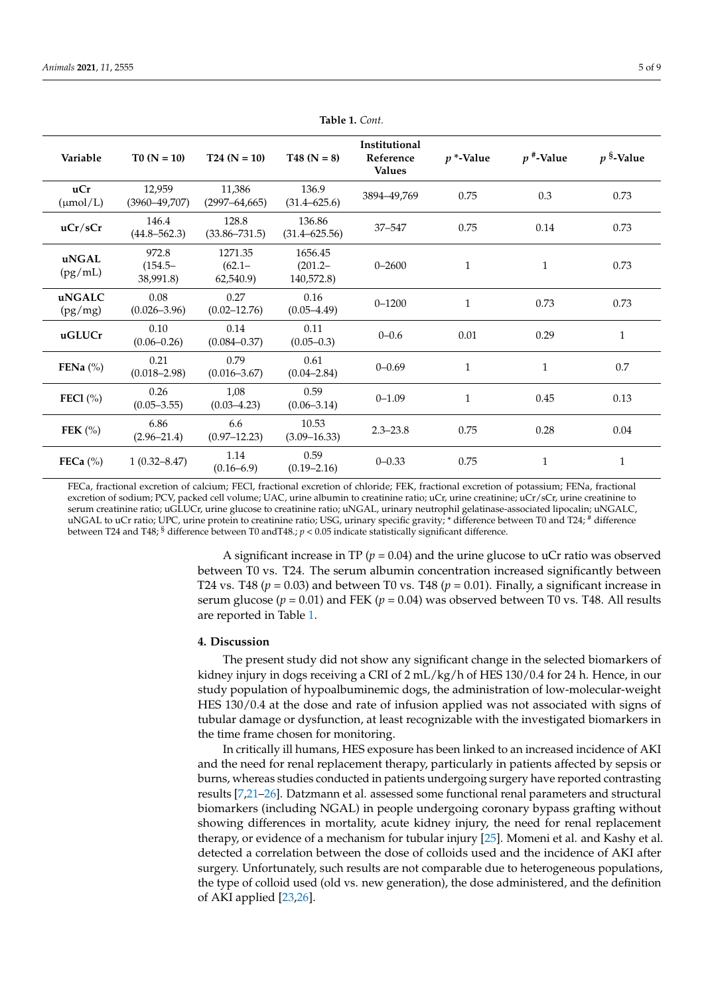<span id="page-4-0"></span>

| Variable             | $T0 (N = 10)$                    | $T24(N = 10)$                    | $T48 (N = 8)$                       | Institutional<br>Reference<br><b>Values</b> | $p$ *-Value  | $p^*$ -Value | $p$ <sup>§</sup> -Value |
|----------------------|----------------------------------|----------------------------------|-------------------------------------|---------------------------------------------|--------------|--------------|-------------------------|
| uCr<br>$(\mu mol/L)$ | 12,959<br>$(3960 - 49,707)$      | 11,386<br>$(2997 - 64, 665)$     | 136.9<br>$(31.4 - 625.6)$           | 3894-49,769                                 | 0.75         | 0.3          | 0.73                    |
| uCr/sCr              | 146.4<br>$(44.8 - 562.3)$        | 128.8<br>$(33.86 - 731.5)$       | 136.86<br>$(31.4 - 625.56)$         | 37-547                                      | 0.75         | 0.14         | 0.73                    |
| uNGAL<br>(pg/mL)     | 972.8<br>$(154.5 -$<br>38,991.8) | 1271.35<br>$(62.1 -$<br>62,540.9 | 1656.45<br>$(201.2 -$<br>140,572.8) | $0 - 2600$                                  | $\mathbf{1}$ | $\mathbf{1}$ | 0.73                    |
| uNGALC<br>(pg/mg)    | 0.08<br>$(0.026 - 3.96)$         | 0.27<br>$(0.02 - 12.76)$         | 0.16<br>$(0.05 - 4.49)$             | $0 - 1200$                                  | $\mathbf{1}$ | 0.73         | 0.73                    |
| uGLUCr               | 0.10<br>$(0.06 - 0.26)$          | 0.14<br>$(0.084 - 0.37)$         | 0.11<br>$(0.05 - 0.3)$              | $0 - 0.6$                                   | $0.01\,$     | 0.29         | $\mathbf{1}$            |
| FENa $(\%)$          | 0.21<br>$(0.018 - 2.98)$         | 0.79<br>$(0.016 - 3.67)$         | 0.61<br>$(0.04 - 2.84)$             | $0 - 0.69$                                  | $\mathbf{1}$ | $\mathbf{1}$ | 0.7                     |
| FEC1 $(\% )$         | 0.26<br>$(0.05 - 3.55)$          | 1,08<br>$(0.03 - 4.23)$          | 0.59<br>$(0.06 - 3.14)$             | $0 - 1.09$                                  | $\mathbf{1}$ | 0.45         | 0.13                    |
| FEK $(\% )$          | 6.86<br>$(2.96 - 21.4)$          | 6.6<br>$(0.97 - 12.23)$          | 10.53<br>$(3.09 - 16.33)$           | $2.3 - 23.8$                                | 0.75         | 0.28         | 0.04                    |
| FECa $(\% )$         | $1(0.32 - 8.47)$                 | 1.14<br>$(0.16 - 6.9)$           | 0.59<br>$(0.19 - 2.16)$             | $0 - 0.33$                                  | 0.75         | 1            | $\mathbf 1$             |

**Table 1.** *Cont.*

FECa, fractional excretion of calcium; FECl, fractional excretion of chloride; FEK, fractional excretion of potassium; FENa, fractional excretion of sodium; PCV, packed cell volume; UAC, urine albumin to creatinine ratio; uCr, urine creatinine; uCr/sCr, urine creatinine to serum creatinine ratio; uGLUCr, urine glucose to creatinine ratio; uNGAL, urinary neutrophil gelatinase-associated lipocalin; uNGALC, uNGAL to uCr ratio; UPC, urine protein to creatinine ratio; USG, urinary specific gravity; \* difference between T0 and T24; # difference between T24 and T48; § difference between T0 andT48.; *p* < 0.05 indicate statistically significant difference.

> A significant increase in TP ( $p = 0.04$ ) and the urine glucose to uCr ratio was observed between T0 vs. T24. The serum albumin concentration increased significantly between T24 vs. T48 ( $p = 0.03$ ) and between T0 vs. T48 ( $p = 0.01$ ). Finally, a significant increase in serum glucose ( $p = 0.01$ ) and FEK ( $p = 0.04$ ) was observed between T0 vs. T48. All results are reported in Table [1.](#page-4-0)

# **4. Discussion**

The present study did not show any significant change in the selected biomarkers of kidney injury in dogs receiving a CRI of 2 mL/kg/h of HES 130/0.4 for 24 h. Hence, in our study population of hypoalbuminemic dogs, the administration of low-molecular-weight HES 130/0.4 at the dose and rate of infusion applied was not associated with signs of tubular damage or dysfunction, at least recognizable with the investigated biomarkers in the time frame chosen for monitoring.

In critically ill humans, HES exposure has been linked to an increased incidence of AKI and the need for renal replacement therapy, particularly in patients affected by sepsis or burns, whereas studies conducted in patients undergoing surgery have reported contrasting results [\[7](#page-7-16)[,21–](#page-8-0)[26\]](#page-8-1). Datzmann et al. assessed some functional renal parameters and structural biomarkers (including NGAL) in people undergoing coronary bypass grafting without showing differences in mortality, acute kidney injury, the need for renal replacement therapy, or evidence of a mechanism for tubular injury [\[25\]](#page-8-2). Momeni et al. and Kashy et al. detected a correlation between the dose of colloids used and the incidence of AKI after surgery. Unfortunately, such results are not comparable due to heterogeneous populations, the type of colloid used (old vs. new generation), the dose administered, and the definition of AKI applied [\[23,](#page-8-3)[26\]](#page-8-1).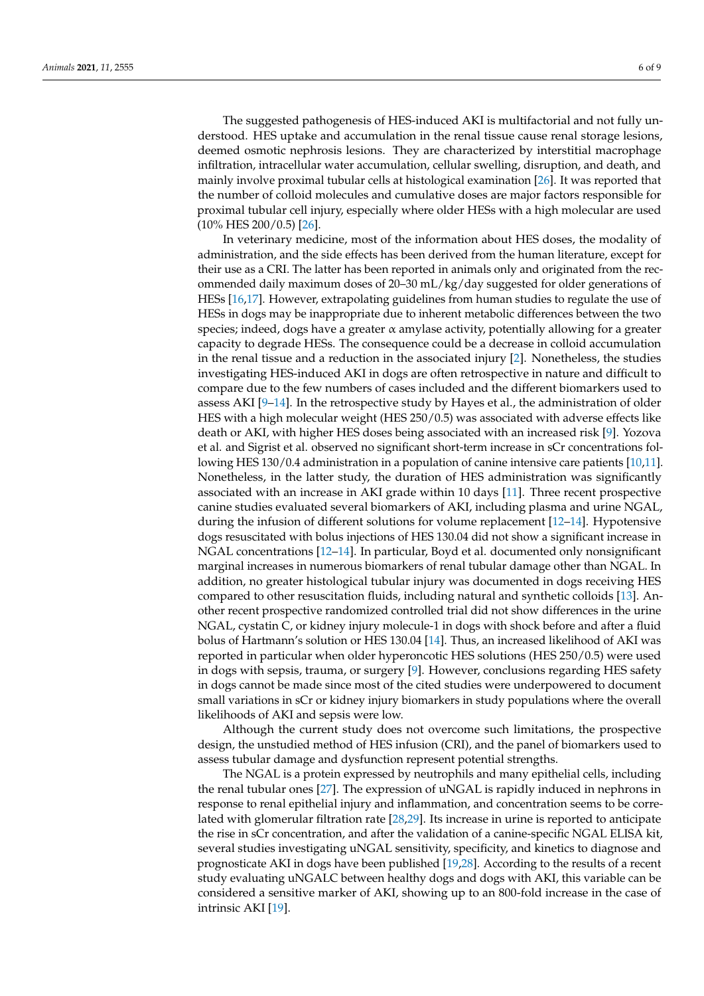The suggested pathogenesis of HES-induced AKI is multifactorial and not fully understood. HES uptake and accumulation in the renal tissue cause renal storage lesions, deemed osmotic nephrosis lesions. They are characterized by interstitial macrophage infiltration, intracellular water accumulation, cellular swelling, disruption, and death, and mainly involve proximal tubular cells at histological examination [\[26\]](#page-8-1). It was reported that the number of colloid molecules and cumulative doses are major factors responsible for proximal tubular cell injury, especially where older HESs with a high molecular are used (10% HES 200/0.5) [\[26\]](#page-8-1).

In veterinary medicine, most of the information about HES doses, the modality of administration, and the side effects has been derived from the human literature, except for their use as a CRI. The latter has been reported in animals only and originated from the recommended daily maximum doses of 20–30 mL/kg/day suggested for older generations of HESs [\[16,](#page-7-11)[17\]](#page-7-12). However, extrapolating guidelines from human studies to regulate the use of HESs in dogs may be inappropriate due to inherent metabolic differences between the two species; indeed, dogs have a greater α amylase activity, potentially allowing for a greater capacity to degrade HESs. The consequence could be a decrease in colloid accumulation in the renal tissue and a reduction in the associated injury [\[2\]](#page-7-1). Nonetheless, the studies investigating HES-induced AKI in dogs are often retrospective in nature and difficult to compare due to the few numbers of cases included and the different biomarkers used to assess AKI [\[9–](#page-7-5)[14\]](#page-7-8). In the retrospective study by Hayes et al., the administration of older HES with a high molecular weight (HES 250/0.5) was associated with adverse effects like death or AKI, with higher HES doses being associated with an increased risk [\[9\]](#page-7-5). Yozova et al. and Sigrist et al. observed no significant short-term increase in sCr concentrations following HES 130/0.4 administration in a population of canine intensive care patients [\[10](#page-7-9)[,11\]](#page-7-6). Nonetheless, in the latter study, the duration of HES administration was significantly associated with an increase in AKI grade within 10 days [\[11\]](#page-7-6). Three recent prospective canine studies evaluated several biomarkers of AKI, including plasma and urine NGAL, during the infusion of different solutions for volume replacement [\[12](#page-7-7)[–14\]](#page-7-8). Hypotensive dogs resuscitated with bolus injections of HES 130.04 did not show a significant increase in NGAL concentrations [\[12–](#page-7-7)[14\]](#page-7-8). In particular, Boyd et al. documented only nonsignificant marginal increases in numerous biomarkers of renal tubular damage other than NGAL. In addition, no greater histological tubular injury was documented in dogs receiving HES compared to other resuscitation fluids, including natural and synthetic colloids [\[13\]](#page-7-17). Another recent prospective randomized controlled trial did not show differences in the urine NGAL, cystatin C, or kidney injury molecule-1 in dogs with shock before and after a fluid bolus of Hartmann's solution or HES 130.04 [\[14\]](#page-7-8). Thus, an increased likelihood of AKI was reported in particular when older hyperoncotic HES solutions (HES 250/0.5) were used in dogs with sepsis, trauma, or surgery [\[9\]](#page-7-5). However, conclusions regarding HES safety in dogs cannot be made since most of the cited studies were underpowered to document small variations in sCr or kidney injury biomarkers in study populations where the overall likelihoods of AKI and sepsis were low.

Although the current study does not overcome such limitations, the prospective design, the unstudied method of HES infusion (CRI), and the panel of biomarkers used to assess tubular damage and dysfunction represent potential strengths.

The NGAL is a protein expressed by neutrophils and many epithelial cells, including the renal tubular ones [\[27\]](#page-8-4). The expression of uNGAL is rapidly induced in nephrons in response to renal epithelial injury and inflammation, and concentration seems to be correlated with glomerular filtration rate [\[28,](#page-8-5)[29\]](#page-8-6). Its increase in urine is reported to anticipate the rise in sCr concentration, and after the validation of a canine-specific NGAL ELISA kit, several studies investigating uNGAL sensitivity, specificity, and kinetics to diagnose and prognosticate AKI in dogs have been published [\[19](#page-7-14)[,28\]](#page-8-5). According to the results of a recent study evaluating uNGALC between healthy dogs and dogs with AKI, this variable can be considered a sensitive marker of AKI, showing up to an 800-fold increase in the case of intrinsic AKI [\[19\]](#page-7-14).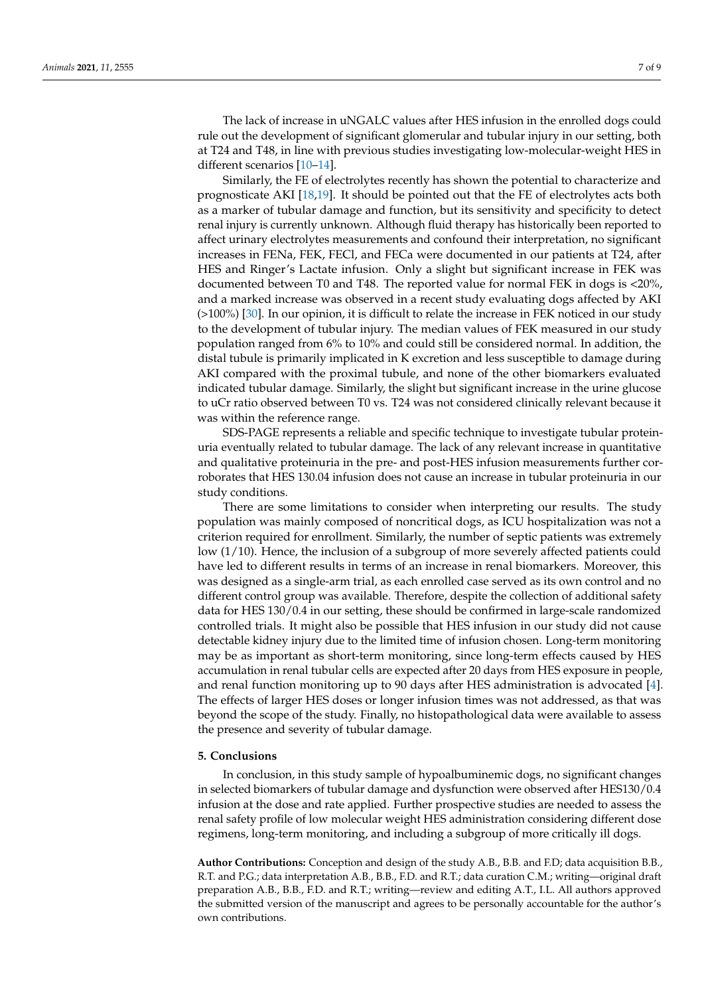The lack of increase in uNGALC values after HES infusion in the enrolled dogs could rule out the development of significant glomerular and tubular injury in our setting, both at T24 and T48, in line with previous studies investigating low-molecular-weight HES in different scenarios [\[10](#page-7-9)[–14\]](#page-7-8).

Similarly, the FE of electrolytes recently has shown the potential to characterize and prognosticate AKI [\[18,](#page-7-13)[19\]](#page-7-14). It should be pointed out that the FE of electrolytes acts both as a marker of tubular damage and function, but its sensitivity and specificity to detect renal injury is currently unknown. Although fluid therapy has historically been reported to affect urinary electrolytes measurements and confound their interpretation, no significant increases in FENa, FEK, FECl, and FECa were documented in our patients at T24, after HES and Ringer's Lactate infusion. Only a slight but significant increase in FEK was documented between T0 and T48. The reported value for normal FEK in dogs is <20%, and a marked increase was observed in a recent study evaluating dogs affected by AKI (>100%) [\[30\]](#page-8-7). In our opinion, it is difficult to relate the increase in FEK noticed in our study to the development of tubular injury. The median values of FEK measured in our study population ranged from 6% to 10% and could still be considered normal. In addition, the distal tubule is primarily implicated in K excretion and less susceptible to damage during AKI compared with the proximal tubule, and none of the other biomarkers evaluated indicated tubular damage. Similarly, the slight but significant increase in the urine glucose to uCr ratio observed between T0 vs. T24 was not considered clinically relevant because it was within the reference range.

SDS-PAGE represents a reliable and specific technique to investigate tubular proteinuria eventually related to tubular damage. The lack of any relevant increase in quantitative and qualitative proteinuria in the pre- and post-HES infusion measurements further corroborates that HES 130.04 infusion does not cause an increase in tubular proteinuria in our study conditions.

There are some limitations to consider when interpreting our results. The study population was mainly composed of noncritical dogs, as ICU hospitalization was not a criterion required for enrollment. Similarly, the number of septic patients was extremely low (1/10). Hence, the inclusion of a subgroup of more severely affected patients could have led to different results in terms of an increase in renal biomarkers. Moreover, this was designed as a single-arm trial, as each enrolled case served as its own control and no different control group was available. Therefore, despite the collection of additional safety data for HES 130/0.4 in our setting, these should be confirmed in large-scale randomized controlled trials. It might also be possible that HES infusion in our study did not cause detectable kidney injury due to the limited time of infusion chosen. Long-term monitoring may be as important as short-term monitoring, since long-term effects caused by HES accumulation in renal tubular cells are expected after 20 days from HES exposure in people, and renal function monitoring up to 90 days after HES administration is advocated [\[4\]](#page-7-4). The effects of larger HES doses or longer infusion times was not addressed, as that was beyond the scope of the study. Finally, no histopathological data were available to assess the presence and severity of tubular damage.

# **5. Conclusions**

In conclusion, in this study sample of hypoalbuminemic dogs, no significant changes in selected biomarkers of tubular damage and dysfunction were observed after HES130/0.4 infusion at the dose and rate applied. Further prospective studies are needed to assess the renal safety profile of low molecular weight HES administration considering different dose regimens, long-term monitoring, and including a subgroup of more critically ill dogs.

**Author Contributions:** Conception and design of the study A.B., B.B. and F.D; data acquisition B.B., R.T. and P.G.; data interpretation A.B., B.B., F.D. and R.T.; data curation C.M.; writing—original draft preparation A.B., B.B., F.D. and R.T.; writing—review and editing A.T., I.L. All authors approved the submitted version of the manuscript and agrees to be personally accountable for the author's own contributions.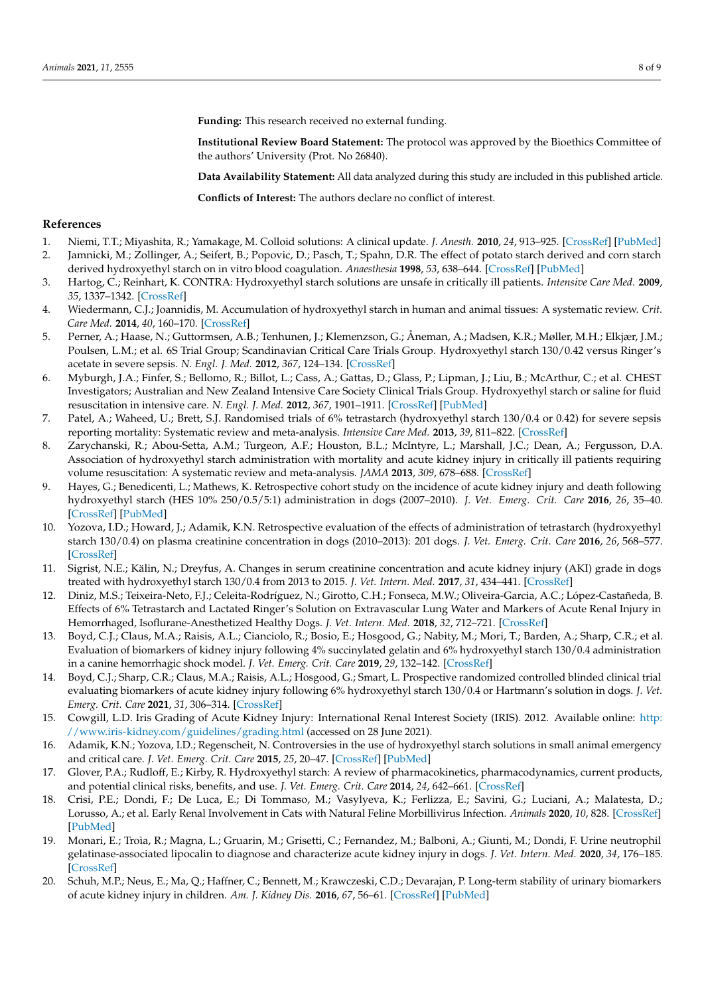**Funding:** This research received no external funding.

**Institutional Review Board Statement:** The protocol was approved by the Bioethics Committee of the authors' University (Prot. No 26840).

**Data Availability Statement:** All data analyzed during this study are included in this published article.

**Conflicts of Interest:** The authors declare no conflict of interest.

# **References**

- <span id="page-7-1"></span><span id="page-7-0"></span>1. Niemi, T.T.; Miyashita, R.; Yamakage, M. Colloid solutions: A clinical update. *J. Anesth.* **2010**, *24*, 913–925. [\[CrossRef\]](http://doi.org/10.1007/s00540-010-1034-y) [\[PubMed\]](http://www.ncbi.nlm.nih.gov/pubmed/20953964) 2. Jamnicki, M.; Zollinger, A.; Seifert, B.; Popovic, D.; Pasch, T.; Spahn, D.R. The effect of potato starch derived and corn starch derived hydroxyethyl starch on in vitro blood coagulation. *Anaesthesia* **1998**, *53*, 638–644. [\[CrossRef\]](http://doi.org/10.1046/j.1365-2044.1998.489-az0565.x) [\[PubMed\]](http://www.ncbi.nlm.nih.gov/pubmed/9771171)
- <span id="page-7-3"></span>3. Hartog, C.; Reinhart, K. CONTRA: Hydroxyethyl starch solutions are unsafe in critically ill patients. *Intensive Care Med.* **2009**, *35*, 1337–1342. [\[CrossRef\]](http://doi.org/10.1007/s00134-009-1521-5)
- <span id="page-7-4"></span>4. Wiedermann, C.J.; Joannidis, M. Accumulation of hydroxyethyl starch in human and animal tissues: A systematic review. *Crit. Care Med.* **2014**, *40*, 160–170. [\[CrossRef\]](http://doi.org/10.1007/s00134-013-3156-9)
- 5. Perner, A.; Haase, N.; Guttormsen, A.B.; Tenhunen, J.; Klemenzson, G.; Åneman, A.; Madsen, K.R.; Møller, M.H.; Elkjær, J.M.; Poulsen, L.M.; et al. 6S Trial Group; Scandinavian Critical Care Trials Group. Hydroxyethyl starch 130/0.42 versus Ringer's acetate in severe sepsis. *N. Engl. J. Med.* **2012**, *367*, 124–134. [\[CrossRef\]](http://doi.org/10.1056/NEJMoa1204242)
- 6. Myburgh, J.A.; Finfer, S.; Bellomo, R.; Billot, L.; Cass, A.; Gattas, D.; Glass, P.; Lipman, J.; Liu, B.; McArthur, C.; et al. CHEST Investigators; Australian and New Zealand Intensive Care Society Clinical Trials Group. Hydroxyethyl starch or saline for fluid resuscitation in intensive care. *N. Engl. J. Med.* **2012**, *367*, 1901–1911. [\[CrossRef\]](http://doi.org/10.1056/NEJMoa1209759) [\[PubMed\]](http://www.ncbi.nlm.nih.gov/pubmed/23075127)
- <span id="page-7-16"></span>7. Patel, A.; Waheed, U.; Brett, S.J. Randomised trials of 6% tetrastarch (hydroxyethyl starch 130/0.4 or 0.42) for severe sepsis reporting mortality: Systematic review and meta-analysis. *Intensive Care Med.* **2013**, *39*, 811–822. [\[CrossRef\]](http://doi.org/10.1007/s00134-013-2863-6)
- <span id="page-7-2"></span>8. Zarychanski, R.; Abou-Setta, A.M.; Turgeon, A.F.; Houston, B.L.; McIntyre, L.; Marshall, J.C.; Dean, A.; Fergusson, D.A. Association of hydroxyethyl starch administration with mortality and acute kidney injury in critically ill patients requiring volume resuscitation: A systematic review and meta-analysis. *JAMA* **2013**, *309*, 678–688. [\[CrossRef\]](http://doi.org/10.1001/jama.2013.430)
- <span id="page-7-5"></span>9. Hayes, G.; Benedicenti, L.; Mathews, K. Retrospective cohort study on the incidence of acute kidney injury and death following hydroxyethyl starch (HES 10% 250/0.5/5:1) administration in dogs (2007–2010). *J. Vet. Emerg. Crit. Care* **2016**, *26*, 35–40. [\[CrossRef\]](http://doi.org/10.1111/vec.12412) [\[PubMed\]](http://www.ncbi.nlm.nih.gov/pubmed/26587795)
- <span id="page-7-9"></span>10. Yozova, I.D.; Howard, J.; Adamik, K.N. Retrospective evaluation of the effects of administration of tetrastarch (hydroxyethyl starch 130/0.4) on plasma creatinine concentration in dogs (2010–2013): 201 dogs. *J. Vet. Emerg. Crit. Care* **2016**, *26*, 568–577. [\[CrossRef\]](http://doi.org/10.1111/vec.12483)
- <span id="page-7-6"></span>11. Sigrist, N.E.; Kälin, N.; Dreyfus, A. Changes in serum creatinine concentration and acute kidney injury (AKI) grade in dogs treated with hydroxyethyl starch 130/0.4 from 2013 to 2015. *J. Vet. Intern. Med.* **2017**, *31*, 434–441. [\[CrossRef\]](http://doi.org/10.1111/jvim.14645)
- <span id="page-7-7"></span>12. Diniz, M.S.; Teixeira-Neto, F.J.; Celeita-Rodríguez, N.; Girotto, C.H.; Fonseca, M.W.; Oliveira-Garcia, A.C.; López-Castañeda, B. Effects of 6% Tetrastarch and Lactated Ringer's Solution on Extravascular Lung Water and Markers of Acute Renal Injury in Hemorrhaged, Isoflurane-Anesthetized Healthy Dogs. *J. Vet. Intern. Med.* **2018**, *32*, 712–721. [\[CrossRef\]](http://doi.org/10.1111/jvim.14853)
- <span id="page-7-17"></span>13. Boyd, C.J.; Claus, M.A.; Raisis, A.L.; Cianciolo, R.; Bosio, E.; Hosgood, G.; Nabity, M.; Mori, T.; Barden, A.; Sharp, C.R.; et al. Evaluation of biomarkers of kidney injury following 4% succinylated gelatin and 6% hydroxyethyl starch 130/0.4 administration in a canine hemorrhagic shock model. *J. Vet. Emerg. Crit. Care* **2019**, *29*, 132–142. [\[CrossRef\]](http://doi.org/10.1111/vec.12814)
- <span id="page-7-8"></span>14. Boyd, C.J.; Sharp, C.R.; Claus, M.A.; Raisis, A.L.; Hosgood, G.; Smart, L. Prospective randomized controlled blinded clinical trial evaluating biomarkers of acute kidney injury following 6% hydroxyethyl starch 130/0.4 or Hartmann's solution in dogs. *J. Vet. Emerg. Crit. Care* **2021**, *31*, 306–314. [\[CrossRef\]](http://doi.org/10.1111/vec.13056)
- <span id="page-7-10"></span>15. Cowgill, L.D. Iris Grading of Acute Kidney Injury: International Renal Interest Society (IRIS). 2012. Available online: [http:](http://www.iris-kidney.com/guidelines/grading.html) [//www.iris-kidney.com/guidelines/grading.html](http://www.iris-kidney.com/guidelines/grading.html) (accessed on 28 June 2021).
- <span id="page-7-11"></span>16. Adamik, K.N.; Yozova, I.D.; Regenscheit, N. Controversies in the use of hydroxyethyl starch solutions in small animal emergency and critical care. *J. Vet. Emerg. Crit. Care* **2015**, *25*, 20–47. [\[CrossRef\]](http://doi.org/10.1111/vec.12283) [\[PubMed\]](http://www.ncbi.nlm.nih.gov/pubmed/25655725)
- <span id="page-7-12"></span>17. Glover, P.A.; Rudloff, E.; Kirby, R. Hydroxyethyl starch: A review of pharmacokinetics, pharmacodynamics, current products, and potential clinical risks, benefits, and use. *J. Vet. Emerg. Crit. Care* **2014**, *24*, 642–661. [\[CrossRef\]](http://doi.org/10.1111/vec.12208)
- <span id="page-7-13"></span>18. Crisi, P.E.; Dondi, F.; De Luca, E.; Di Tommaso, M.; Vasylyeva, K.; Ferlizza, E.; Savini, G.; Luciani, A.; Malatesta, D.; Lorusso, A.; et al. Early Renal Involvement in Cats with Natural Feline Morbillivirus Infection. *Animals* **2020**, *10*, 828. [\[CrossRef\]](http://doi.org/10.3390/ani10050828) [\[PubMed\]](http://www.ncbi.nlm.nih.gov/pubmed/32397661)
- <span id="page-7-14"></span>19. Monari, E.; Troìa, R.; Magna, L.; Gruarin, M.; Grisetti, C.; Fernandez, M.; Balboni, A.; Giunti, M.; Dondi, F. Urine neutrophil gelatinase-associated lipocalin to diagnose and characterize acute kidney injury in dogs. *J. Vet. Intern. Med.* **2020**, *34*, 176–185. [\[CrossRef\]](http://doi.org/10.1111/jvim.15645)
- <span id="page-7-15"></span>20. Schuh, M.P.; Neus, E.; Ma, Q.; Haffner, C.; Bennett, M.; Krawczeski, C.D.; Devarajan, P. Long-term stability of urinary biomarkers of acute kidney injury in children. *Am. J. Kidney Dis.* **2016**, *67*, 56–61. [\[CrossRef\]](http://doi.org/10.1053/j.ajkd.2015.04.040) [\[PubMed\]](http://www.ncbi.nlm.nih.gov/pubmed/26032628)